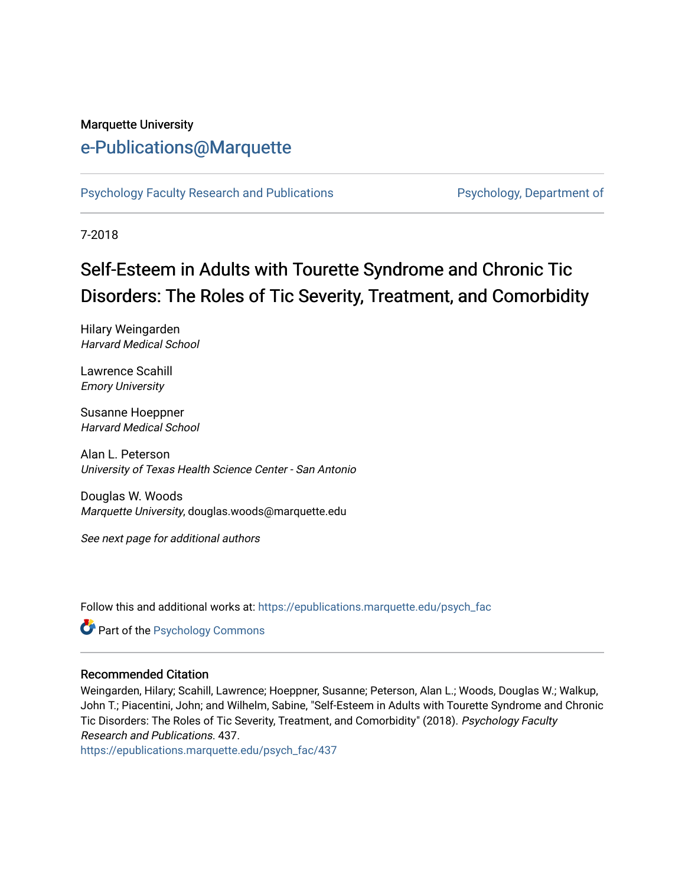#### Marquette University

# [e-Publications@Marquette](https://epublications.marquette.edu/)

[Psychology Faculty Research and Publications](https://epublications.marquette.edu/psych_fac) **Properties Psychology, Department of** 

7-2018

# Self-Esteem in Adults with Tourette Syndrome and Chronic Tic Disorders: The Roles of Tic Severity, Treatment, and Comorbidity

Hilary Weingarden Harvard Medical School

Lawrence Scahill Emory University

Susanne Hoeppner Harvard Medical School

Alan L. Peterson University of Texas Health Science Center - San Antonio

Douglas W. Woods Marquette University, douglas.woods@marquette.edu

See next page for additional authors

Follow this and additional works at: [https://epublications.marquette.edu/psych\\_fac](https://epublications.marquette.edu/psych_fac?utm_source=epublications.marquette.edu%2Fpsych_fac%2F437&utm_medium=PDF&utm_campaign=PDFCoverPages)

**Part of the Psychology Commons** 

#### Recommended Citation

Weingarden, Hilary; Scahill, Lawrence; Hoeppner, Susanne; Peterson, Alan L.; Woods, Douglas W.; Walkup, John T.; Piacentini, John; and Wilhelm, Sabine, "Self-Esteem in Adults with Tourette Syndrome and Chronic Tic Disorders: The Roles of Tic Severity, Treatment, and Comorbidity" (2018). Psychology Faculty Research and Publications. 437.

[https://epublications.marquette.edu/psych\\_fac/437](https://epublications.marquette.edu/psych_fac/437?utm_source=epublications.marquette.edu%2Fpsych_fac%2F437&utm_medium=PDF&utm_campaign=PDFCoverPages)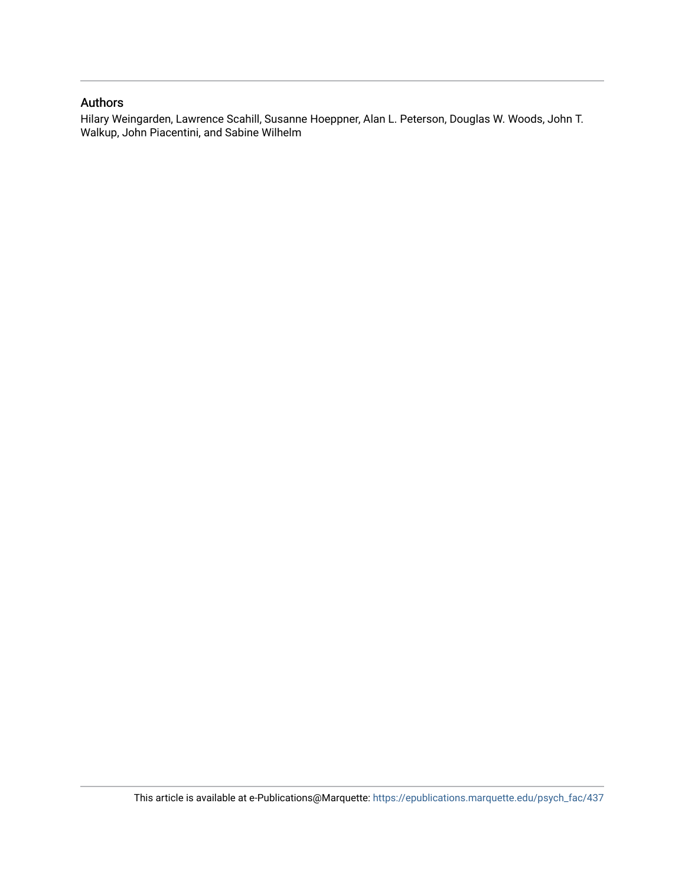#### Authors

Hilary Weingarden, Lawrence Scahill, Susanne Hoeppner, Alan L. Peterson, Douglas W. Woods, John T. Walkup, John Piacentini, and Sabine Wilhelm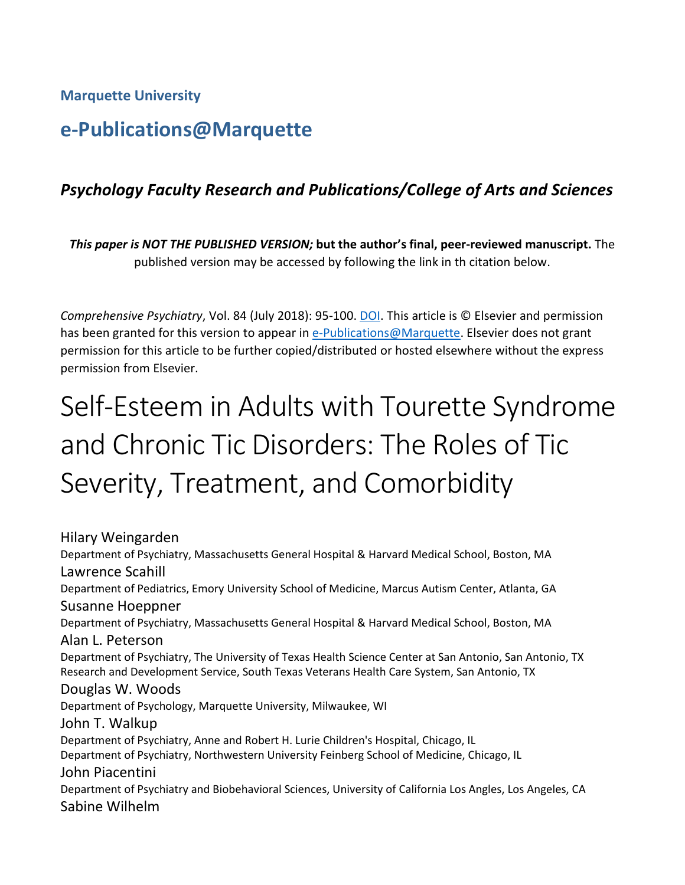**Marquette University**

# **e-Publications@Marquette**

## *Psychology Faculty Research and Publications/College of Arts and Sciences*

*This paper is NOT THE PUBLISHED VERSION;* **but the author's final, peer-reviewed manuscript.** The published version may be accessed by following the link in th citation below.

*Comprehensive Psychiatry*, Vol. 84 (July 2018): 95-100[. DOI.](https://doi.org/10.1016/j.comppsych.2018.04.008) This article is © Elsevier and permission has been granted for this version to appear in [e-Publications@Marquette.](http://epublications.marquette.edu/) Elsevier does not grant permission for this article to be further copied/distributed or hosted elsewhere without the express permission from Elsevier.

# Self-Esteem in Adults with Tourette Syndrome and Chronic Tic Disorders: The Roles of Tic Severity, Treatment, and Comorbidity

Hilary Weingarden Department of Psychiatry, Massachusetts General Hospital & Harvard Medical School, Boston, MA Lawrence Scahill Department of Pediatrics, Emory University School of Medicine, Marcus Autism Center, Atlanta, GA Susanne Hoeppner Department of Psychiatry, Massachusetts General Hospital & Harvard Medical School, Boston, MA Alan L. Peterson Department of Psychiatry, The University of Texas Health Science Center at San Antonio, San Antonio, TX Research and Development Service, South Texas Veterans Health Care System, San Antonio, TX Douglas W. Woods Department of Psychology, Marquette University, Milwaukee, WI John T. Walkup Department of Psychiatry, Anne and Robert H. Lurie Children's Hospital, Chicago, IL Department of Psychiatry, Northwestern University Feinberg School of Medicine, Chicago, IL John Piacentini Department of Psychiatry and Biobehavioral Sciences, University of California Los Angles, Los Angeles, CA Sabine Wilhelm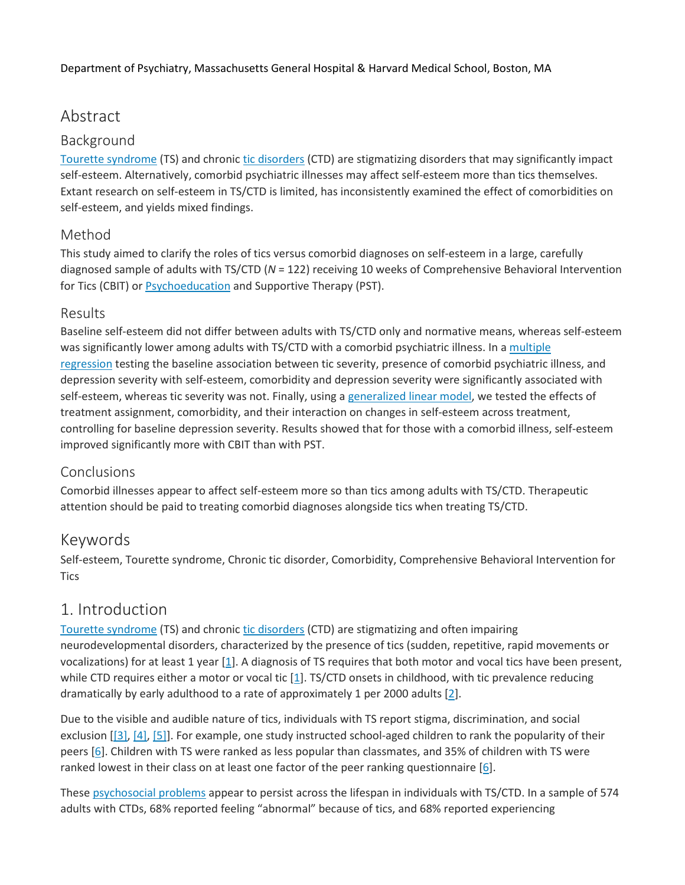Department of Psychiatry, Massachusetts General Hospital & Harvard Medical School, Boston, MA

## Abstract

#### Background

[Tourette syndrome](https://www.sciencedirect.com/topics/medicine-and-dentistry/gilles-de-la-tourette-syndrome) (TS) and chronic [tic disorders](https://www.sciencedirect.com/topics/medicine-and-dentistry/tic-disorder) (CTD) are stigmatizing disorders that may significantly impact self-esteem. Alternatively, comorbid psychiatric illnesses may affect self-esteem more than tics themselves. Extant research on self-esteem in TS/CTD is limited, has inconsistently examined the effect of comorbidities on self-esteem, and yields mixed findings.

#### Method

This study aimed to clarify the roles of tics versus comorbid diagnoses on self-esteem in a large, carefully diagnosed sample of adults with TS/CTD (*N* = 122) receiving 10 weeks of Comprehensive Behavioral Intervention for Tics (CBIT) or [Psychoeducation](https://www.sciencedirect.com/topics/medicine-and-dentistry/psychoeducation) and Supportive Therapy (PST).

#### Results

Baseline self-esteem did not differ between adults with TS/CTD only and normative means, whereas self-esteem was significantly lower among adults with TS/CTD with a comorbid psychiatric illness. In a [multiple](https://www.sciencedirect.com/topics/psychology/multiple-regression)  [regression](https://www.sciencedirect.com/topics/psychology/multiple-regression) testing the baseline association between tic severity, presence of comorbid psychiatric illness, and depression severity with self-esteem, comorbidity and depression severity were significantly associated with self-esteem, whereas tic severity was not. Finally, using a [generalized linear model,](https://www.sciencedirect.com/topics/psychology/generalized-linear-model) we tested the effects of treatment assignment, comorbidity, and their interaction on changes in self-esteem across treatment, controlling for baseline depression severity. Results showed that for those with a comorbid illness, self-esteem improved significantly more with CBIT than with PST.

#### Conclusions

Comorbid illnesses appear to affect self-esteem more so than tics among adults with TS/CTD. Therapeutic attention should be paid to treating comorbid diagnoses alongside tics when treating TS/CTD.

## Keywords

Self-esteem, Tourette syndrome, Chronic tic disorder, Comorbidity, Comprehensive Behavioral Intervention for Tics

## 1. Introduction

[Tourette syndrome](https://www.sciencedirect.com/topics/medicine-and-dentistry/gilles-de-la-tourette-syndrome) (TS) and chronic [tic disorders](https://www.sciencedirect.com/topics/medicine-and-dentistry/tic-disorder) (CTD) are stigmatizing and often impairing neurodevelopmental disorders, characterized by the presence of tics (sudden, repetitive, rapid movements or vocalizations) for at least 1 year [[1\]](https://www.sciencedirect.com/science/article/pii/S0010440X18300804#bb0005). A diagnosis of TS requires that both motor and vocal tics have been present, while CTD requires either a motor or vocal tic [[1\]](https://www.sciencedirect.com/science/article/pii/S0010440X18300804#bb0005). TS/CTD onsets in childhood, with tic prevalence reducing dramatically by early adulthood to a rate of approximately 1 per 2000 adults [[2\]](https://www.sciencedirect.com/science/article/pii/S0010440X18300804#bb0010).

Due to the visible and audible nature of tics, individuals with TS report stigma, discrimination, and social exclusion [\[\[3\]](https://www.sciencedirect.com/science/article/pii/S0010440X18300804#bb0015), [\[4\]](https://www.sciencedirect.com/science/article/pii/S0010440X18300804#bb0020), [\[5\]](https://www.sciencedirect.com/science/article/pii/S0010440X18300804#bb0025)]. For example, one study instructed school-aged children to rank the popularity of their peers [[6\]](https://www.sciencedirect.com/science/article/pii/S0010440X18300804#bb0030). Children with TS were ranked as less popular than classmates, and 35% of children with TS were ranked lowest in their class on at least one factor of the peer ranking questionnaire [[6\]](https://www.sciencedirect.com/science/article/pii/S0010440X18300804#bb0030).

These [psychosocial problems](https://www.sciencedirect.com/topics/medicine-and-dentistry/reactive-attachment-disorder) appear to persist across the lifespan in individuals with TS/CTD. In a sample of 574 adults with CTDs, 68% reported feeling "abnormal" because of tics, and 68% reported experiencing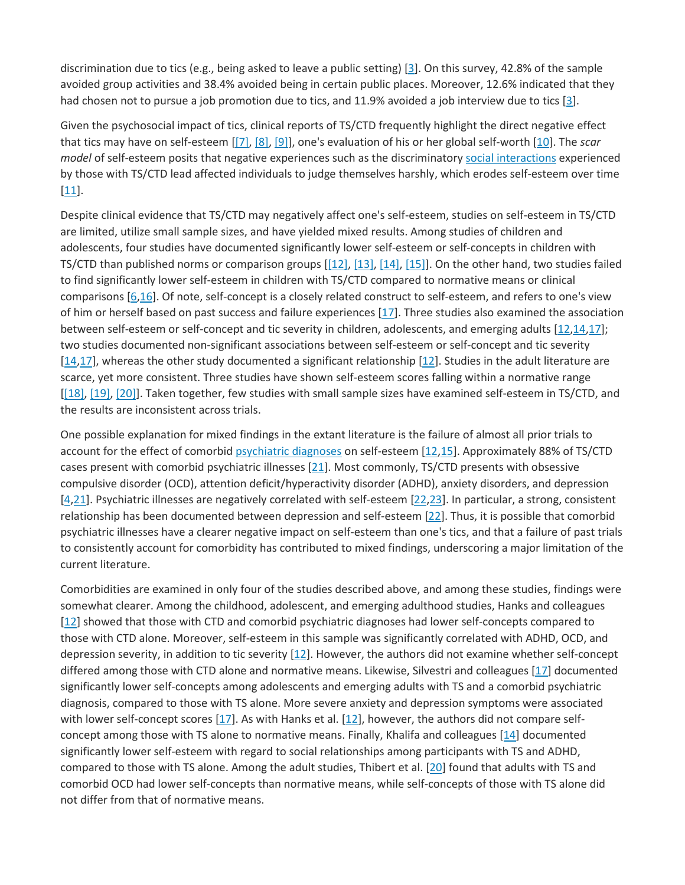discrimination due to tics (e.g., being asked to leave a public setting) [\[3\]](https://www.sciencedirect.com/science/article/pii/S0010440X18300804#bb0015). On this survey, 42.8% of the sample avoided group activities and 38.4% avoided being in certain public places. Moreover, 12.6% indicated that they had chosen not to pursue a job promotion due to tics, and 11.9% avoided a job interview due to tics [\[3](https://www.sciencedirect.com/science/article/pii/S0010440X18300804#bb0015)].

Given the psychosocial impact of tics, clinical reports of TS/CTD frequently highlight the direct negative effect that tics may have on self-esteem [\[\[7\]](https://www.sciencedirect.com/science/article/pii/S0010440X18300804#bb0035), [\[8\]](https://www.sciencedirect.com/science/article/pii/S0010440X18300804#bb0040), [\[9\]](https://www.sciencedirect.com/science/article/pii/S0010440X18300804#bb0045)], one's evaluation of his or her global self-worth [[10\]](https://www.sciencedirect.com/science/article/pii/S0010440X18300804#bb0050). The *scar model* of self-esteem posits that negative experiences such as the discriminatory [social interactions](https://www.sciencedirect.com/topics/medicine-and-dentistry/social-interaction) experienced by those with TS/CTD lead affected individuals to judge themselves harshly, which erodes self-esteem over time [[11\]](https://www.sciencedirect.com/science/article/pii/S0010440X18300804#bb0055).

Despite clinical evidence that TS/CTD may negatively affect one's self-esteem, studies on self-esteem in TS/CTD are limited, utilize small sample sizes, and have yielded mixed results. Among studies of children and adolescents, four studies have documented significantly lower self-esteem or self-concepts in children with TS/CTD than published norms or comparison groups [\[\[12\]](https://www.sciencedirect.com/science/article/pii/S0010440X18300804#bb0060), [\[13\]](https://www.sciencedirect.com/science/article/pii/S0010440X18300804#bb0065), [\[14\]](https://www.sciencedirect.com/science/article/pii/S0010440X18300804#bb0070), [\[15\]](https://www.sciencedirect.com/science/article/pii/S0010440X18300804#bb0075)]. On the other hand, two studies failed to find significantly lower self-esteem in children with TS/CTD compared to normative means or clinical comparisons [[6,](https://www.sciencedirect.com/science/article/pii/S0010440X18300804#bb0030)[16\]](https://www.sciencedirect.com/science/article/pii/S0010440X18300804#bb0080). Of note, self-concept is a closely related construct to self-esteem, and refers to one's view of him or herself based on past success and failure experiences [[17\]](https://www.sciencedirect.com/science/article/pii/S0010440X18300804#bb0085). Three studies also examined the association between self-esteem or self-concept and tic severity in children, adolescents, and emerging adults [[12](https://www.sciencedirect.com/science/article/pii/S0010440X18300804#bb0060)[,14](https://www.sciencedirect.com/science/article/pii/S0010440X18300804#bb0070)[,17\]](https://www.sciencedirect.com/science/article/pii/S0010440X18300804#bb0085); two studies documented non-significant associations between self-esteem or self-concept and tic severity [[14](https://www.sciencedirect.com/science/article/pii/S0010440X18300804#bb0070)[,17](https://www.sciencedirect.com/science/article/pii/S0010440X18300804#bb0085)], whereas the other study documented a significant relationship [[12\]](https://www.sciencedirect.com/science/article/pii/S0010440X18300804#bb0060). Studies in the adult literature are scarce, yet more consistent. Three studies have shown self-esteem scores falling within a normative range [\[\[18\]](https://www.sciencedirect.com/science/article/pii/S0010440X18300804#bb0090), [\[19\]](https://www.sciencedirect.com/science/article/pii/S0010440X18300804#bb0095), [\[20\]](https://www.sciencedirect.com/science/article/pii/S0010440X18300804#bb0100)]. Taken together, few studies with small sample sizes have examined self-esteem in TS/CTD, and the results are inconsistent across trials.

One possible explanation for mixed findings in the extant literature is the failure of almost all prior trials to account for the effect of comorbid [psychiatric diagnoses](https://www.sciencedirect.com/topics/medicine-and-dentistry/psychiatric-diagnosis) on self-esteem [[12](https://www.sciencedirect.com/science/article/pii/S0010440X18300804#bb0060)[,15](https://www.sciencedirect.com/science/article/pii/S0010440X18300804#bb0075)]. Approximately 88% of TS/CTD cases present with comorbid psychiatric illnesses [[21\]](https://www.sciencedirect.com/science/article/pii/S0010440X18300804#bb0105). Most commonly, TS/CTD presents with obsessive compulsive disorder (OCD), attention deficit/hyperactivity disorder (ADHD), anxiety disorders, and depression [[4](https://www.sciencedirect.com/science/article/pii/S0010440X18300804#bb0020)[,21\]](https://www.sciencedirect.com/science/article/pii/S0010440X18300804#bb0105). Psychiatric illnesses are negatively correlated with self-esteem [[22,](https://www.sciencedirect.com/science/article/pii/S0010440X18300804#bb0110)[23](https://www.sciencedirect.com/science/article/pii/S0010440X18300804#bb0115)]. In particular, a strong, consistent relationship has been documented between depression and self-esteem [[22\]](https://www.sciencedirect.com/science/article/pii/S0010440X18300804#bb0110). Thus, it is possible that comorbid psychiatric illnesses have a clearer negative impact on self-esteem than one's tics, and that a failure of past trials to consistently account for comorbidity has contributed to mixed findings, underscoring a major limitation of the current literature.

Comorbidities are examined in only four of the studies described above, and among these studies, findings were somewhat clearer. Among the childhood, adolescent, and emerging adulthood studies, Hanks and colleagues [[12\]](https://www.sciencedirect.com/science/article/pii/S0010440X18300804#bb0060) showed that those with CTD and comorbid psychiatric diagnoses had lower self-concepts compared to those with CTD alone. Moreover, self-esteem in this sample was significantly correlated with ADHD, OCD, and depression severity, in addition to tic severity [[12\]](https://www.sciencedirect.com/science/article/pii/S0010440X18300804#bb0060). However, the authors did not examine whether self-concept differed among those with CTD alone and normative means. Likewise, Silvestri and colleagues [[17\]](https://www.sciencedirect.com/science/article/pii/S0010440X18300804#bb0085) documented significantly lower self-concepts among adolescents and emerging adults with TS and a comorbid psychiatric diagnosis, compared to those with TS alone. More severe anxiety and depression symptoms were associated with lower self-concept scores [[17](https://www.sciencedirect.com/science/article/pii/S0010440X18300804#bb0085)]. As with Hanks et al. [[12\]](https://www.sciencedirect.com/science/article/pii/S0010440X18300804#bb0060), however, the authors did not compare selfconcept among those with TS alone to normative means. Finally, Khalifa and colleagues [[14\]](https://www.sciencedirect.com/science/article/pii/S0010440X18300804#bb0070) documented significantly lower self-esteem with regard to social relationships among participants with TS and ADHD, compared to those with TS alone. Among the adult studies, Thibert et al. [[20\]](https://www.sciencedirect.com/science/article/pii/S0010440X18300804#bb0100) found that adults with TS and comorbid OCD had lower self-concepts than normative means, while self-concepts of those with TS alone did not differ from that of normative means.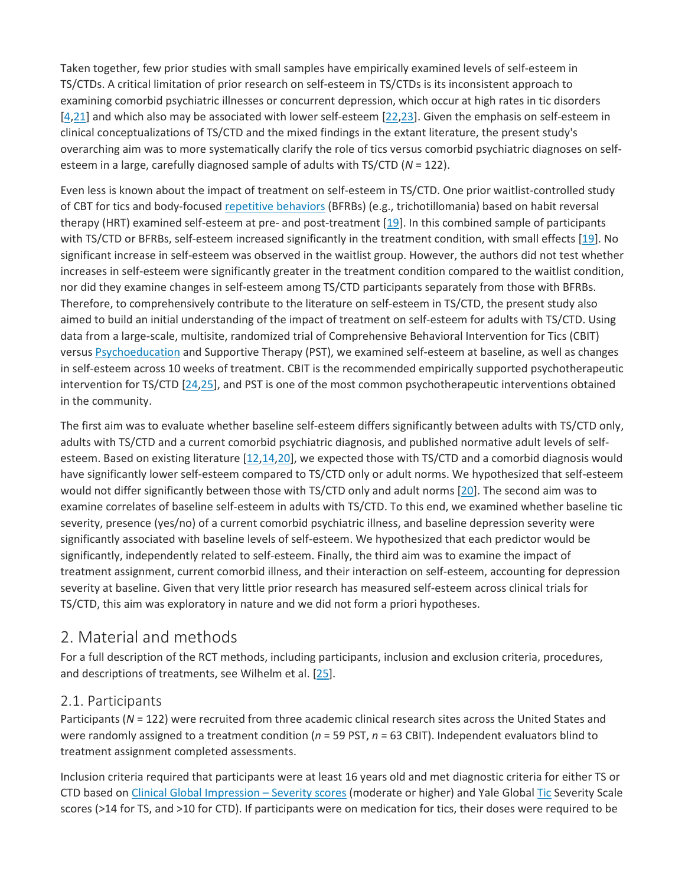Taken together, few prior studies with small samples have empirically examined levels of self-esteem in TS/CTDs. A critical limitation of prior research on self-esteem in TS/CTDs is its inconsistent approach to examining comorbid psychiatric illnesses or concurrent depression, which occur at high rates in tic disorders [[4](https://www.sciencedirect.com/science/article/pii/S0010440X18300804#bb0020)[,21\]](https://www.sciencedirect.com/science/article/pii/S0010440X18300804#bb0105) and which also may be associated with lower self-esteem [[22,](https://www.sciencedirect.com/science/article/pii/S0010440X18300804#bb0110)[23](https://www.sciencedirect.com/science/article/pii/S0010440X18300804#bb0115)]. Given the emphasis on self-esteem in clinical conceptualizations of TS/CTD and the mixed findings in the extant literature, the present study's overarching aim was to more systematically clarify the role of tics versus comorbid psychiatric diagnoses on selfesteem in a large, carefully diagnosed sample of adults with TS/CTD (*N* = 122).

Even less is known about the impact of treatment on self-esteem in TS/CTD. One prior waitlist-controlled study of CBT for tics and body-focused [repetitive behaviors](https://www.sciencedirect.com/topics/medicine-and-dentistry/compulsive-behavior) (BFRBs) (e.g., trichotillomania) based on habit reversal therapy (HRT) examined self-esteem at pre- and post-treatment [[19\]](https://www.sciencedirect.com/science/article/pii/S0010440X18300804#bb0095). In this combined sample of participants with TS/CTD or BFRBs, self-esteem increased significantly in the treatment condition, with small effects [[19\]](https://www.sciencedirect.com/science/article/pii/S0010440X18300804#bb0095). No significant increase in self-esteem was observed in the waitlist group. However, the authors did not test whether increases in self-esteem were significantly greater in the treatment condition compared to the waitlist condition, nor did they examine changes in self-esteem among TS/CTD participants separately from those with BFRBs. Therefore, to comprehensively contribute to the literature on self-esteem in TS/CTD, the present study also aimed to build an initial understanding of the impact of treatment on self-esteem for adults with TS/CTD. Using data from a large-scale, multisite, randomized trial of Comprehensive Behavioral Intervention for Tics (CBIT) versus [Psychoeducation](https://www.sciencedirect.com/topics/medicine-and-dentistry/psychoeducation) and Supportive Therapy (PST), we examined self-esteem at baseline, as well as changes in self-esteem across 10 weeks of treatment. CBIT is the recommended empirically supported psychotherapeutic intervention for TS/CTD [[24](https://www.sciencedirect.com/science/article/pii/S0010440X18300804#bb0120)[,25\]](https://www.sciencedirect.com/science/article/pii/S0010440X18300804#bb0125), and PST is one of the most common psychotherapeutic interventions obtained in the community.

The first aim was to evaluate whether baseline self-esteem differs significantly between adults with TS/CTD only, adults with TS/CTD and a current comorbid psychiatric diagnosis, and published normative adult levels of selfesteem. Based on existing literature [[12](https://www.sciencedirect.com/science/article/pii/S0010440X18300804#bb0060)[,14](https://www.sciencedirect.com/science/article/pii/S0010440X18300804#bb0070)[,20\]](https://www.sciencedirect.com/science/article/pii/S0010440X18300804#bb0100), we expected those with TS/CTD and a comorbid diagnosis would have significantly lower self-esteem compared to TS/CTD only or adult norms. We hypothesized that self-esteem would not differ significantly between those with TS/CTD only and adult norms [[20\]](https://www.sciencedirect.com/science/article/pii/S0010440X18300804#bb0100). The second aim was to examine correlates of baseline self-esteem in adults with TS/CTD. To this end, we examined whether baseline tic severity, presence (yes/no) of a current comorbid psychiatric illness, and baseline depression severity were significantly associated with baseline levels of self-esteem. We hypothesized that each predictor would be significantly, independently related to self-esteem. Finally, the third aim was to examine the impact of treatment assignment, current comorbid illness, and their interaction on self-esteem, accounting for depression severity at baseline. Given that very little prior research has measured self-esteem across clinical trials for TS/CTD, this aim was exploratory in nature and we did not form a priori hypotheses.

## 2. Material and methods

For a full description of the RCT methods, including participants, inclusion and exclusion criteria, procedures, and descriptions of treatments, see Wilhelm et al. [[25\]](https://www.sciencedirect.com/science/article/pii/S0010440X18300804#bb0125).

#### 2.1. Participants

Participants ( $N = 122$ ) were recruited from three academic clinical research sites across the United States and were randomly assigned to a treatment condition (*n* = 59 PST, *n* = 63 CBIT). Independent evaluators blind to treatment assignment completed assessments.

Inclusion criteria required that participants were at least 16 years old and met diagnostic criteria for either TS or CTD based on [Clinical Global Impression –](https://www.sciencedirect.com/topics/medicine-and-dentistry/clinical-global-impression) Severity scores (moderate or higher) and Yale Global [Tic](https://www.sciencedirect.com/topics/medicine-and-dentistry/tic-disorder) Severity Scale scores (>14 for TS, and >10 for CTD). If participants were on medication for tics, their doses were required to be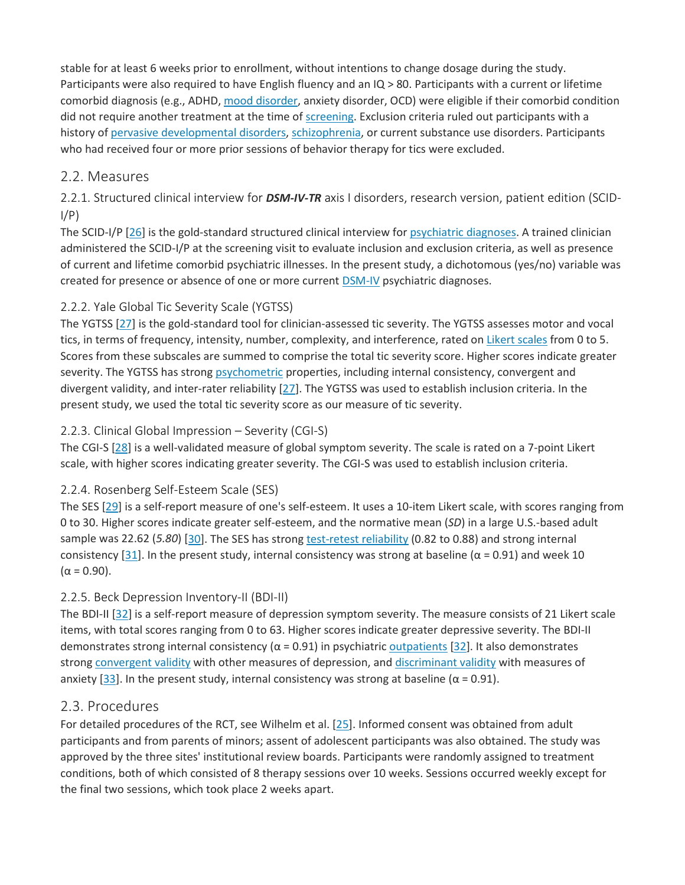stable for at least 6 weeks prior to enrollment, without intentions to change dosage during the study. Participants were also required to have English fluency and an IQ > 80. Participants with a current or lifetime comorbid diagnosis (e.g., ADHD, [mood disorder,](https://www.sciencedirect.com/topics/medicine-and-dentistry/mood-disorder) anxiety disorder, OCD) were eligible if their comorbid condition did not require another treatment at the time of [screening.](https://www.sciencedirect.com/topics/psychology/screening) Exclusion criteria ruled out participants with a history of [pervasive developmental disorders,](https://www.sciencedirect.com/topics/medicine-and-dentistry/pervasive-developmental-disorder) [schizophrenia,](https://www.sciencedirect.com/topics/medicine-and-dentistry/schizophrenia) or current substance use disorders. Participants who had received four or more prior sessions of behavior therapy for tics were excluded.

#### 2.2. Measures

2.2.1. Structured clinical interview for *DSM-IV-TR* axis I disorders, research version, patient edition (SCID- $I/P$ 

The SCID-I/P [[26\]](https://www.sciencedirect.com/science/article/pii/S0010440X18300804#bb0130) is the gold-standard structured clinical interview for [psychiatric diagnoses.](https://www.sciencedirect.com/topics/medicine-and-dentistry/psychiatric-diagnosis) A trained clinician administered the SCID-I/P at the screening visit to evaluate inclusion and exclusion criteria, as well as presence of current and lifetime comorbid psychiatric illnesses. In the present study, a dichotomous (yes/no) variable was created for presence or absence of one or more current [DSM-IV](https://www.sciencedirect.com/topics/medicine-and-dentistry/dsm-iv) psychiatric diagnoses.

#### 2.2.2. Yale Global Tic Severity Scale (YGTSS)

The YGTSS [[27\]](https://www.sciencedirect.com/science/article/pii/S0010440X18300804#bb0135) is the gold-standard tool for clinician-assessed tic severity. The YGTSS assesses motor and vocal tics, in terms of frequency, intensity, number, complexity, and interference, rated on [Likert scales](https://www.sciencedirect.com/topics/medicine-and-dentistry/likert-scale) from 0 to 5. Scores from these subscales are summed to comprise the total tic severity score. Higher scores indicate greater severity. The YGTSS has strong [psychometric](https://www.sciencedirect.com/topics/medicine-and-dentistry/psychometry) properties, including internal consistency, convergent and divergent validity, and inter-rater reliability [[27\]](https://www.sciencedirect.com/science/article/pii/S0010440X18300804#bb0135). The YGTSS was used to establish inclusion criteria. In the present study, we used the total tic severity score as our measure of tic severity.

#### 2.2.3. Clinical Global Impression – Severity (CGI-S)

The CGI-S [[28\]](https://www.sciencedirect.com/science/article/pii/S0010440X18300804#bb0140) is a well-validated measure of global symptom severity. The scale is rated on a 7-point Likert scale, with higher scores indicating greater severity. The CGI-S was used to establish inclusion criteria.

#### 2.2.4. Rosenberg Self-Esteem Scale (SES)

The SES [[29\]](https://www.sciencedirect.com/science/article/pii/S0010440X18300804#bb0145) is a self-report measure of one's self-esteem. It uses a 10-item Likert scale, with scores ranging from 0 to 30. Higher scores indicate greater self-esteem, and the normative mean (*SD*) in a large U.S.-based adult sample was 22.62 (*5.80*) [\[30](https://www.sciencedirect.com/science/article/pii/S0010440X18300804#bb0150)]. The SES has strong [test-retest reliability](https://www.sciencedirect.com/topics/medicine-and-dentistry/test-retest-reliability) (0.82 to 0.88) and strong internal consistency [\[31](https://www.sciencedirect.com/science/article/pii/S0010440X18300804#bb0155)]. In the present study, internal consistency was strong at baseline ( $\alpha$  = 0.91) and week 10  $(α = 0.90)$ .

#### 2.2.5. Beck Depression Inventory-II (BDI-II)

The BDI-II [\[32](https://www.sciencedirect.com/science/article/pii/S0010440X18300804#bb0160)] is a self-report measure of depression symptom severity. The measure consists of 21 Likert scale items, with total scores ranging from 0 to 63. Higher scores indicate greater depressive severity. The BDI-II demonstrates strong internal consistency ( $α = 0.91$ ) in psychiatric [outpatients](https://www.sciencedirect.com/topics/medicine-and-dentistry/outpatient) [\[32](https://www.sciencedirect.com/science/article/pii/S0010440X18300804#bb0160)]. It also demonstrates strong [convergent validity](https://www.sciencedirect.com/topics/psychology/convergent-validity) with other measures of depression, and [discriminant validity](https://www.sciencedirect.com/topics/psychology/discriminant-validity) with measures of anxiety [\[33\]](https://www.sciencedirect.com/science/article/pii/S0010440X18300804#bb0165). In the present study, internal consistency was strong at baseline ( $\alpha$  = 0.91).

#### 2.3. Procedures

For detailed procedures of the RCT, see Wilhelm et al. [[25\]](https://www.sciencedirect.com/science/article/pii/S0010440X18300804#bb0125). Informed consent was obtained from adult participants and from parents of minors; assent of adolescent participants was also obtained. The study was approved by the three sites' institutional review boards. Participants were randomly assigned to treatment conditions, both of which consisted of 8 therapy sessions over 10 weeks. Sessions occurred weekly except for the final two sessions, which took place 2 weeks apart.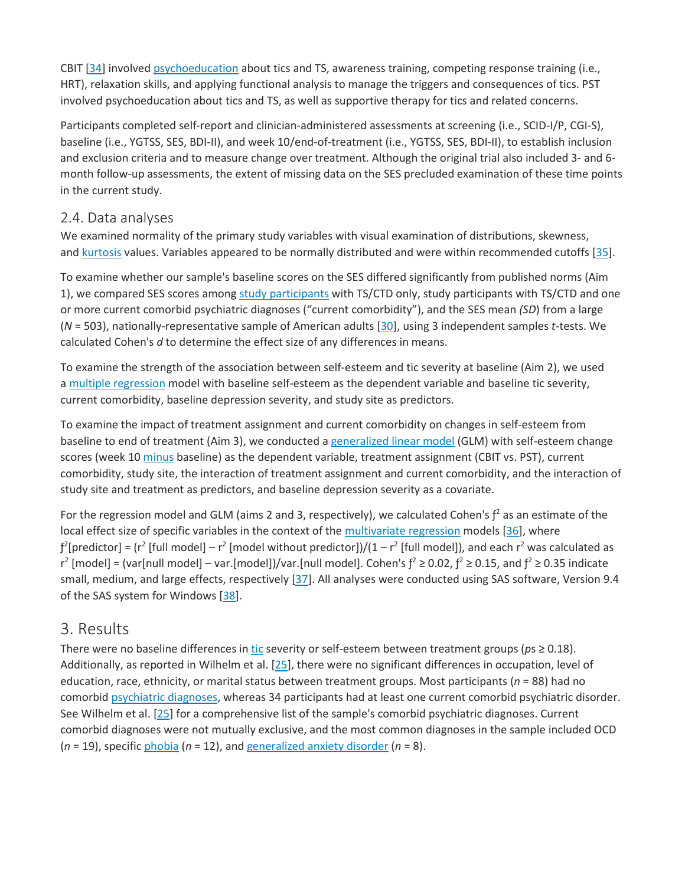CBIT [\[34](https://www.sciencedirect.com/science/article/pii/S0010440X18300804#bb0170)] involved [psychoeducation](https://www.sciencedirect.com/topics/medicine-and-dentistry/psychoeducation) about tics and TS, awareness training, competing response training (i.e., HRT), relaxation skills, and applying functional analysis to manage the triggers and consequences of tics. PST involved psychoeducation about tics and TS, as well as supportive therapy for tics and related concerns.

Participants completed self-report and clinician-administered assessments at screening (i.e., SCID-I/P, CGI-S), baseline (i.e., YGTSS, SES, BDI-II), and week 10/end-of-treatment (i.e., YGTSS, SES, BDI-II), to establish inclusion and exclusion criteria and to measure change over treatment. Although the original trial also included 3- and 6 month follow-up assessments, the extent of missing data on the SES precluded examination of these time points in the current study.

#### 2.4. Data analyses

We examined normality of the primary study variables with visual examination of distributions, skewness, and [kurtosis](https://www.sciencedirect.com/topics/neuroscience/kurtosis) values. Variables appeared to be normally distributed and were within recommended cutoffs [\[35](https://www.sciencedirect.com/science/article/pii/S0010440X18300804#bb0175)].

To examine whether our sample's baseline scores on the SES differed significantly from published norms (Aim 1), we compared SES scores among [study participants](https://www.sciencedirect.com/topics/medicine-and-dentistry/study-participant) with TS/CTD only, study participants with TS/CTD and one or more current comorbid psychiatric diagnoses ("current comorbidity"), and the SES mean *(SD*) from a large (*N* = 503), nationally-representative sample of American adults [\[30](https://www.sciencedirect.com/science/article/pii/S0010440X18300804#bb0150)], using 3 independent samples *t-*tests. We calculated Cohen's *d* to determine the effect size of any differences in means.

To examine the strength of the association between self-esteem and tic severity at baseline (Aim 2), we used a [multiple regression](https://www.sciencedirect.com/topics/psychology/multiple-regression) model with baseline self-esteem as the dependent variable and baseline tic severity, current comorbidity, baseline depression severity, and study site as predictors.

To examine the impact of treatment assignment and current comorbidity on changes in self-esteem from baseline to end of treatment (Aim 3), we conducted a [generalized linear model](https://www.sciencedirect.com/topics/psychology/generalized-linear-model) (GLM) with self-esteem change scores (week 10 [minus](https://www.sciencedirect.com/topics/medicine-and-dentistry/alginic-acid) baseline) as the dependent variable, treatment assignment (CBIT vs. PST), current comorbidity, study site, the interaction of treatment assignment and current comorbidity, and the interaction of study site and treatment as predictors, and baseline depression severity as a covariate.

For the regression model and GLM (aims 2 and 3, respectively), we calculated Cohen's  $f^2$  as an estimate of the local effect size of specific variables in the context of the [multivariate regression](https://www.sciencedirect.com/topics/psychology/multivariate-regression) models [\[36](https://www.sciencedirect.com/science/article/pii/S0010440X18300804#bb0180)], where  $f^2$ [predictor] = (r<sup>2</sup> [full model] – r<sup>2</sup> [model without predictor])/(1 – r<sup>2</sup> [full model]), and each r<sup>2</sup> was calculated as  $r^2$  [model] = (var[null model] – var.[model])/var.[null model]. Cohen's  $f^2 \ge 0.02$ ,  $f^2 \ge 0.15$ , and  $f^2 \ge 0.35$  indicate small, medium, and large effects, respectively [\[37](https://www.sciencedirect.com/science/article/pii/S0010440X18300804#bb0185)]. All analyses were conducted using SAS software, Version 9.4 of the SAS system for Windows [\[38](https://www.sciencedirect.com/science/article/pii/S0010440X18300804#bb0190)].

## 3. Results

There were no baseline differences in [tic](https://www.sciencedirect.com/topics/medicine-and-dentistry/tic-disorder) severity or self-esteem between treatment groups ( $p_s \ge 0.18$ ). Additionally, as reported in Wilhelm et al. [[25\]](https://www.sciencedirect.com/science/article/pii/S0010440X18300804#bb0125), there were no significant differences in occupation, level of education, race, ethnicity, or marital status between treatment groups. Most participants (*n* = 88) had no comorbid [psychiatric diagnoses](https://www.sciencedirect.com/topics/medicine-and-dentistry/psychiatric-diagnosis), whereas 34 participants had at least one current comorbid psychiatric disorder. See Wilhelm et al. [[25\]](https://www.sciencedirect.com/science/article/pii/S0010440X18300804#bb0125) for a comprehensive list of the sample's comorbid psychiatric diagnoses. Current comorbid diagnoses were not mutually exclusive, and the most common diagnoses in the sample included OCD (*n* = 19), specific [phobia](https://www.sciencedirect.com/topics/medicine-and-dentistry/phobia) (*n* = 12), and [generalized anxiety disorder](https://www.sciencedirect.com/topics/medicine-and-dentistry/generalized-anxiety-disorder) (*n* = 8).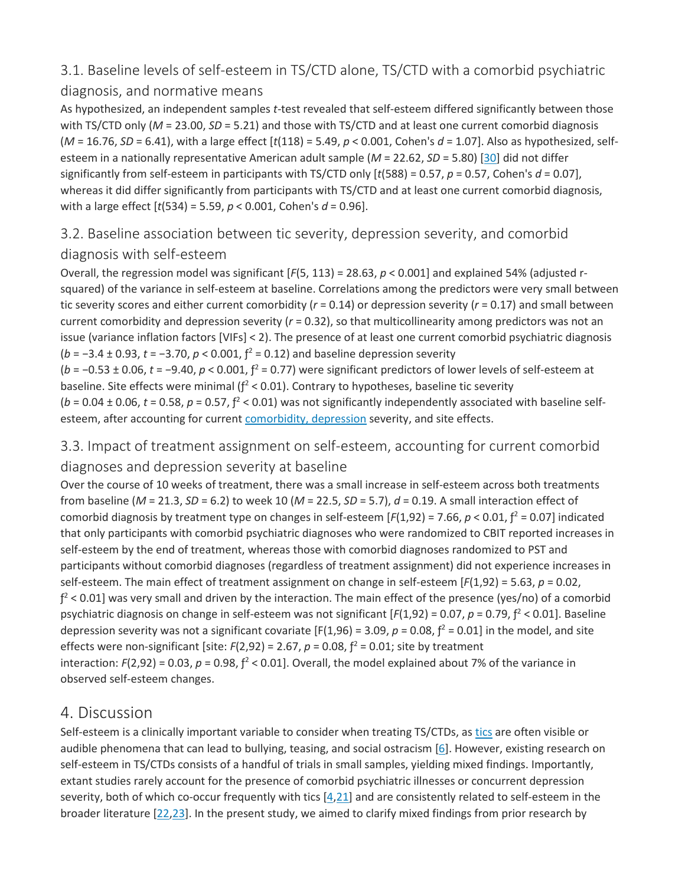# 3.1. Baseline levels of self-esteem in TS/CTD alone, TS/CTD with a comorbid psychiatric

#### diagnosis, and normative means

As hypothesized, an independent samples *t-*test revealed that self-esteem differed significantly between those with TS/CTD only (*M* = 23.00, *SD* = 5.21) and those with TS/CTD and at least one current comorbid diagnosis (*M* = 16.76, *SD* = 6.41), with a large effect [*t*(118) = 5.49, *p* < 0.001, Cohen's *d* = 1.07]. Also as hypothesized, selfesteem in a nationally representative American adult sample (*M* = 22.62, *SD* = 5.80) [\[30](https://www.sciencedirect.com/science/article/pii/S0010440X18300804#bb0150)] did not differ significantly from self-esteem in participants with TS/CTD only [*t*(588) = 0.57, *p* = 0.57, Cohen's *d* = 0.07], whereas it did differ significantly from participants with TS/CTD and at least one current comorbid diagnosis, with a large effect [*t*(534) = 5.59, *p* < 0.001, Cohen's *d* = 0.96].

## 3.2. Baseline association between tic severity, depression severity, and comorbid

## diagnosis with self-esteem

Overall, the regression model was significant [*F*(5, 113) = 28.63, *p* < 0.001] and explained 54% (adjusted rsquared) of the variance in self-esteem at baseline. Correlations among the predictors were very small between tic severity scores and either current comorbidity (*r* = 0.14) or depression severity (*r* = 0.17) and small between current comorbidity and depression severity (*r* = 0.32), so that multicollinearity among predictors was not an issue (variance inflation factors [VIFs] < 2). The presence of at least one current comorbid psychiatric diagnosis (*b* = −3.4 ± 0.93, *t* = −3.70, *p* < 0.001, ƒ<sup>2</sup> = 0.12) and baseline depression severity (*b* = −0.53 ± 0.06, *t* = −9.40, *p* < 0.001, ƒ<sup>2</sup> = 0.77) were significant predictors of lower levels of self-esteem at baseline. Site effects were minimal ( $f^2$  < 0.01). Contrary to hypotheses, baseline tic severity  $(b = 0.04 \pm 0.06, t = 0.58, p = 0.57, f<sup>2</sup> < 0.01)$  was not significantly independently associated with baseline selfesteem, after accounting for current [comorbidity, depression](https://www.sciencedirect.com/topics/medicine-and-dentistry/depression-co-morbidities) severity, and site effects.

#### 3.3. Impact of treatment assignment on self-esteem, accounting for current comorbid

## diagnoses and depression severity at baseline

Over the course of 10 weeks of treatment, there was a small increase in self-esteem across both treatments from baseline (*M* = 21.3, *SD* = 6.2) to week 10 (*M* = 22.5, *SD* = 5.7), *d* = 0.19. A small interaction effect of comorbid diagnosis by treatment type on changes in self-esteem  $[F(1,92) = 7.66, p < 0.01, f^2 = 0.07]$  indicated that only participants with comorbid psychiatric diagnoses who were randomized to CBIT reported increases in self-esteem by the end of treatment, whereas those with comorbid diagnoses randomized to PST and participants without comorbid diagnoses (regardless of treatment assignment) did not experience increases in self-esteem. The main effect of treatment assignment on change in self-esteem [*F*(1,92) = 5.63, *p* = 0.02,  $f^2$  < 0.01] was very small and driven by the interaction. The main effect of the presence (yes/no) of a comorbid psychiatric diagnosis on change in self-esteem was not significant [*F*(1,92) = 0.07, *p* = 0.79, ƒ<sup>2</sup> < 0.01]. Baseline depression severity was not a significant covariate  $[F(1,96) = 3.09, p = 0.08, f^2 = 0.01]$  in the model, and site effects were non-significant [site: *F*(2,92) = 2.67, *p* = 0.08, ƒ<sup>2</sup> = 0.01; site by treatment interaction:  $F(2,92) = 0.03$ ,  $p = 0.98$ ,  $f<sup>2</sup> < 0.01$ ]. Overall, the model explained about 7% of the variance in observed self-esteem changes.

## 4. Discussion

Self-esteem is a clinically important variable to consider when treating TS/CTDs, as [tics](https://www.sciencedirect.com/topics/medicine-and-dentistry/tic-disorder) are often visible or audible phenomena that can lead to bullying, teasing, and social ostracism [[6\]](https://www.sciencedirect.com/science/article/pii/S0010440X18300804#bb0030). However, existing research on self-esteem in TS/CTDs consists of a handful of trials in small samples, yielding mixed findings. Importantly, extant studies rarely account for the presence of comorbid psychiatric illnesses or concurrent depression severity, both of which co-occur frequently with tics  $[4,21]$  $[4,21]$  $[4,21]$  and are consistently related to self-esteem in the broader literature [[22,](https://www.sciencedirect.com/science/article/pii/S0010440X18300804#bb0110)[23](https://www.sciencedirect.com/science/article/pii/S0010440X18300804#bb0115)]. In the present study, we aimed to clarify mixed findings from prior research by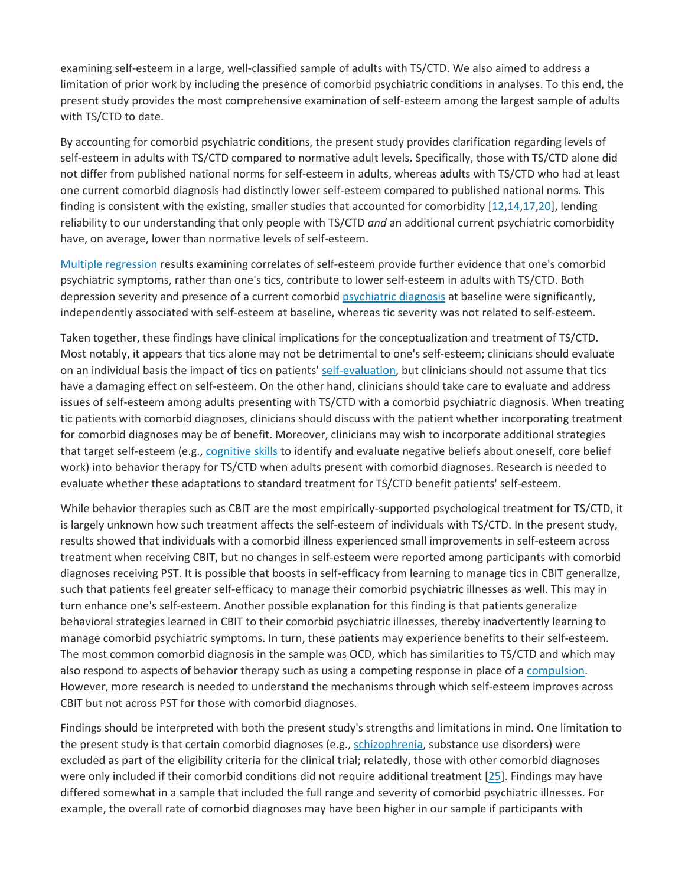examining self-esteem in a large, well-classified sample of adults with TS/CTD. We also aimed to address a limitation of prior work by including the presence of comorbid psychiatric conditions in analyses. To this end, the present study provides the most comprehensive examination of self-esteem among the largest sample of adults with TS/CTD to date.

By accounting for comorbid psychiatric conditions, the present study provides clarification regarding levels of self-esteem in adults with TS/CTD compared to normative adult levels. Specifically, those with TS/CTD alone did not differ from published national norms for self-esteem in adults, whereas adults with TS/CTD who had at least one current comorbid diagnosis had distinctly lower self-esteem compared to published national norms. This finding is consistent with the existing, smaller studies that accounted for comorbidity [[12](https://www.sciencedirect.com/science/article/pii/S0010440X18300804#bb0060)[,14](https://www.sciencedirect.com/science/article/pii/S0010440X18300804#bb0070)[,17](https://www.sciencedirect.com/science/article/pii/S0010440X18300804#bb0085)[,20\]](https://www.sciencedirect.com/science/article/pii/S0010440X18300804#bb0100), lending reliability to our understanding that only people with TS/CTD *and* an additional current psychiatric comorbidity have, on average, lower than normative levels of self-esteem.

[Multiple regression](https://www.sciencedirect.com/topics/psychology/multiple-regression) results examining correlates of self-esteem provide further evidence that one's comorbid psychiatric symptoms, rather than one's tics, contribute to lower self-esteem in adults with TS/CTD. Both depression severity and presence of a current comorbid [psychiatric diagnosis](https://www.sciencedirect.com/topics/medicine-and-dentistry/psychiatric-diagnosis) at baseline were significantly, independently associated with self-esteem at baseline, whereas tic severity was not related to self-esteem.

Taken together, these findings have clinical implications for the conceptualization and treatment of TS/CTD. Most notably, it appears that tics alone may not be detrimental to one's self-esteem; clinicians should evaluate on an individual basis the impact of tics on patients' [self-evaluation,](https://www.sciencedirect.com/topics/psychology/self-evaluations) but clinicians should not assume that tics have a damaging effect on self-esteem. On the other hand, clinicians should take care to evaluate and address issues of self-esteem among adults presenting with TS/CTD with a comorbid psychiatric diagnosis. When treating tic patients with comorbid diagnoses, clinicians should discuss with the patient whether incorporating treatment for comorbid diagnoses may be of benefit. Moreover, clinicians may wish to incorporate additional strategies that target self-esteem (e.g., [cognitive skills](https://www.sciencedirect.com/topics/psychology/cognitive-skill) to identify and evaluate negative beliefs about oneself, core belief work) into behavior therapy for TS/CTD when adults present with comorbid diagnoses. Research is needed to evaluate whether these adaptations to standard treatment for TS/CTD benefit patients' self-esteem.

While behavior therapies such as CBIT are the most empirically-supported psychological treatment for TS/CTD, it is largely unknown how such treatment affects the self-esteem of individuals with TS/CTD. In the present study, results showed that individuals with a comorbid illness experienced small improvements in self-esteem across treatment when receiving CBIT, but no changes in self-esteem were reported among participants with comorbid diagnoses receiving PST. It is possible that boosts in self-efficacy from learning to manage tics in CBIT generalize, such that patients feel greater self-efficacy to manage their comorbid psychiatric illnesses as well. This may in turn enhance one's self-esteem. Another possible explanation for this finding is that patients generalize behavioral strategies learned in CBIT to their comorbid psychiatric illnesses, thereby inadvertently learning to manage comorbid psychiatric symptoms. In turn, these patients may experience benefits to their self-esteem. The most common comorbid diagnosis in the sample was OCD, which has similarities to TS/CTD and which may also respond to aspects of behavior therapy such as using a competing response in place of a [compulsion.](https://www.sciencedirect.com/topics/medicine-and-dentistry/compulsive-behavior) However, more research is needed to understand the mechanisms through which self-esteem improves across CBIT but not across PST for those with comorbid diagnoses.

Findings should be interpreted with both the present study's strengths and limitations in mind. One limitation to the present study is that certain comorbid diagnoses (e.g., [schizophrenia,](https://www.sciencedirect.com/topics/medicine-and-dentistry/schizophrenia) substance use disorders) were excluded as part of the eligibility criteria for the clinical trial; relatedly, those with other comorbid diagnoses were only included if their comorbid conditions did not require additional treatment [[25\]](https://www.sciencedirect.com/science/article/pii/S0010440X18300804#bb0125). Findings may have differed somewhat in a sample that included the full range and severity of comorbid psychiatric illnesses. For example, the overall rate of comorbid diagnoses may have been higher in our sample if participants with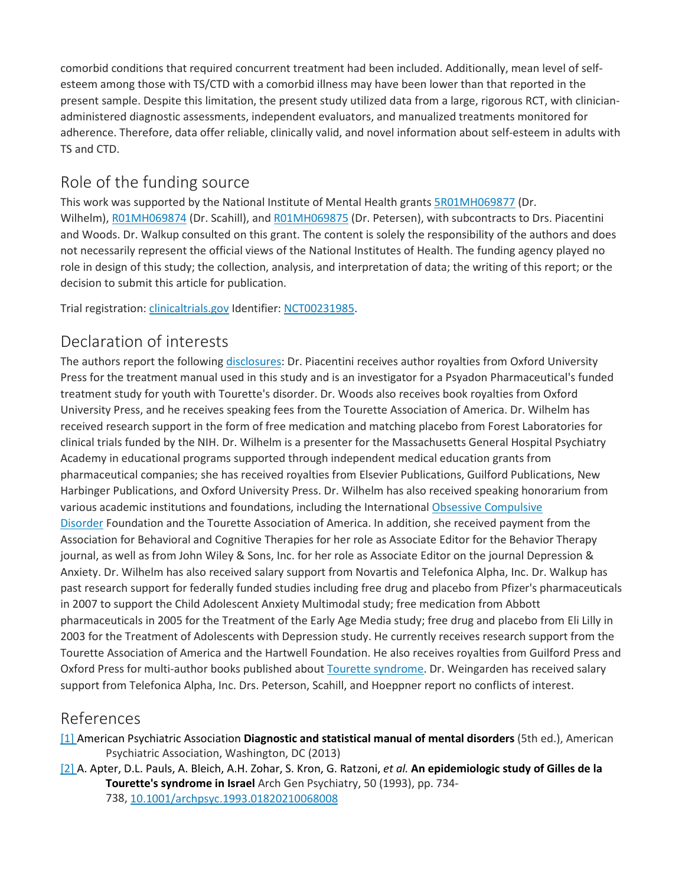comorbid conditions that required concurrent treatment had been included. Additionally, mean level of selfesteem among those with TS/CTD with a comorbid illness may have been lower than that reported in the present sample. Despite this limitation, the present study utilized data from a large, rigorous RCT, with clinicianadministered diagnostic assessments, independent evaluators, and manualized treatments monitored for adherence. Therefore, data offer reliable, clinically valid, and novel information about self-esteem in adults with TS and CTD.

## Role of the funding source

This work was supported by the National Institute of Mental Health grants **[5R01MH069877](https://www.sciencedirect.com/science/article/pii/S0010440X18300804#gts0005)** (Dr. Wilhelm), [R01MH069874](https://www.sciencedirect.com/science/article/pii/S0010440X18300804#gts0005) (Dr. Scahill), and [R01MH069875](https://www.sciencedirect.com/science/article/pii/S0010440X18300804#gts0005) (Dr. Petersen), with subcontracts to Drs. Piacentini and Woods. Dr. Walkup consulted on this grant. The content is solely the responsibility of the authors and does not necessarily represent the official views of the National Institutes of Health. The funding agency played no role in design of this study; the collection, analysis, and interpretation of data; the writing of this report; or the decision to submit this article for publication.

Trial registration: [clinicaltrials.gov](http://clinicaltrials.gov/) Identifier: [NCT00231985](http://clinicaltrials.gov/show/NCT00231985).

# Declaration of interests

The authors report the following [disclosures:](https://www.sciencedirect.com/topics/psychology/disclosure) Dr. Piacentini receives author royalties from Oxford University Press for the treatment manual used in this study and is an investigator for a Psyadon Pharmaceutical's funded treatment study for youth with Tourette's disorder. Dr. Woods also receives book royalties from Oxford University Press, and he receives speaking fees from the Tourette Association of America. Dr. Wilhelm has received research support in the form of free medication and matching placebo from Forest Laboratories for clinical trials funded by the NIH. Dr. Wilhelm is a presenter for the Massachusetts General Hospital Psychiatry Academy in educational programs supported through independent medical education grants from pharmaceutical companies; she has received royalties from Elsevier Publications, Guilford Publications, New Harbinger Publications, and Oxford University Press. Dr. Wilhelm has also received speaking honorarium from various academic institutions and foundations, including the International [Obsessive Compulsive](https://www.sciencedirect.com/topics/medicine-and-dentistry/obsessive-compulsive-disorder)  [Disorder](https://www.sciencedirect.com/topics/medicine-and-dentistry/obsessive-compulsive-disorder) Foundation and the Tourette Association of America. In addition, she received payment from the Association for Behavioral and Cognitive Therapies for her role as Associate Editor for the Behavior Therapy journal, as well as from John Wiley & Sons, Inc. for her role as Associate Editor on the journal Depression & Anxiety. Dr. Wilhelm has also received salary support from Novartis and Telefonica Alpha, Inc. Dr. Walkup has past research support for federally funded studies including free drug and placebo from Pfizer's pharmaceuticals in 2007 to support the Child Adolescent Anxiety Multimodal study; free medication from Abbott pharmaceuticals in 2005 for the Treatment of the Early Age Media study; free drug and placebo from Eli Lilly in 2003 for the Treatment of Adolescents with Depression study. He currently receives research support from the Tourette Association of America and the Hartwell Foundation. He also receives royalties from Guilford Press and Oxford Press for multi-author books published about [Tourette syndrome.](https://www.sciencedirect.com/topics/medicine-and-dentistry/gilles-de-la-tourette-syndrome) Dr. Weingarden has received salary support from Telefonica Alpha, Inc. Drs. Peterson, Scahill, and Hoeppner report no conflicts of interest.

## References

[\[1\]](https://www.sciencedirect.com/science/article/pii/S0010440X18300804#bbb0005) American Psychiatric Association **Diagnostic and statistical manual of mental disorders** (5th ed.), American Psychiatric Association, Washington, DC (2013)

[\[2\]](https://www.sciencedirect.com/science/article/pii/S0010440X18300804#bbb0010) A. Apter, D.L. Pauls, A. Bleich, A.H. Zohar, S. Kron, G. Ratzoni, *et al.* **An epidemiologic study of Gilles de la Tourette's syndrome in Israel** Arch Gen Psychiatry, 50 (1993), pp. 734- 738, [10.1001/archpsyc.1993.01820210068008](https://doi.org/10.1001/archpsyc.1993.01820210068008)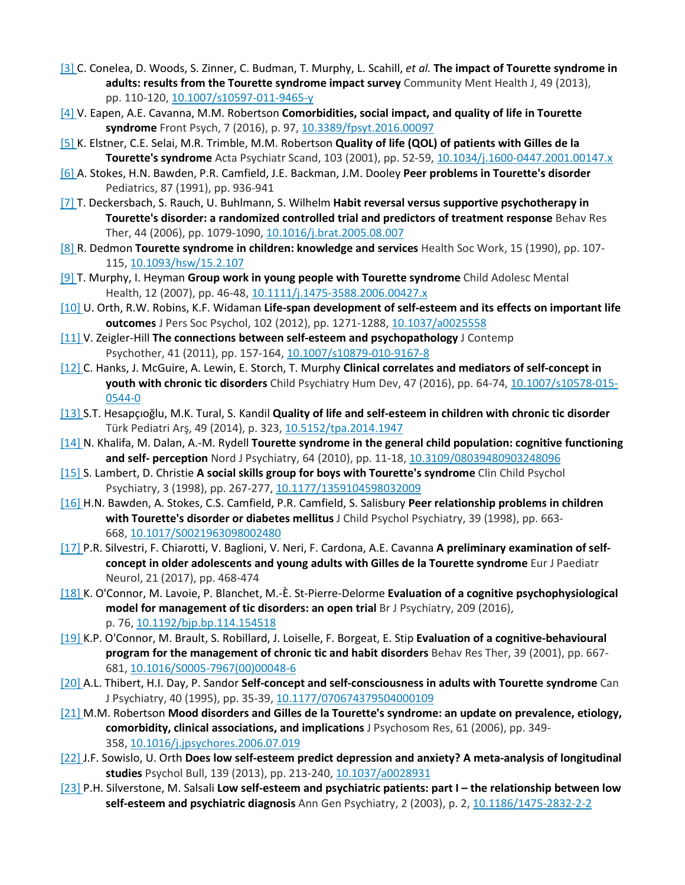- [\[3\]](https://www.sciencedirect.com/science/article/pii/S0010440X18300804#bbb0015) C. Conelea, D. Woods, S. Zinner, C. Budman, T. Murphy, L. Scahill, *et al.* **The impact of Tourette syndrome in adults: results from the Tourette syndrome impact survey** Community Ment Health J, 49 (2013), pp. 110-120, [10.1007/s10597-011-9465-y](https://doi.org/10.1007/s10597-011-9465-y)
- [\[4\]](https://www.sciencedirect.com/science/article/pii/S0010440X18300804#bbb0020) V. Eapen, A.E. Cavanna, M.M. Robertson **Comorbidities, social impact, and quality of life in Tourette syndrome** Front Psych, 7 (2016), p. 97, [10.3389/fpsyt.2016.00097](https://doi.org/10.3389/fpsyt.2016.00097)
- [\[5\]](https://www.sciencedirect.com/science/article/pii/S0010440X18300804#bbb0025) K. Elstner, C.E. Selai, M.R. Trimble, M.M. Robertson **Quality of life (QOL) of patients with Gilles de la Tourette's syndrome** Acta Psychiatr Scand, 103 (2001), pp. 52-59, 10.1034/j.1600[-0447.2001.00147.x](https://doi.org/10.1034/j.1600-0447.2001.00147.x)
- [\[6\]](https://www.sciencedirect.com/science/article/pii/S0010440X18300804#bbb0030) A. Stokes, H.N. Bawden, P.R. Camfield, J.E. Backman, J.M. Dooley **Peer problems in Tourette's disorder** Pediatrics, 87 (1991), pp. 936-941
- [\[7\]](https://www.sciencedirect.com/science/article/pii/S0010440X18300804#bbb0035) T. Deckersbach, S. Rauch, U. Buhlmann, S. Wilhelm **Habit reversal versus supportive psychotherapy in Tourette's disorder: a randomized controlled trial and predictors of treatment response** Behav Res Ther, 44 (2006), pp. 1079-1090, [10.1016/j.brat.2005.08.007](https://doi.org/10.1016/j.brat.2005.08.007)
- [\[8\]](https://www.sciencedirect.com/science/article/pii/S0010440X18300804#bbb0040) R. Dedmon **Tourette syndrome in children: knowledge and services** Health Soc Work, 15 (1990), pp. 107- 115, [10.1093/hsw/15.2.107](https://doi.org/10.1093/hsw/15.2.107)
- [\[9\]](https://www.sciencedirect.com/science/article/pii/S0010440X18300804#bbb0045) T. Murphy, I. Heyman **Group work in young people with Tourette syndrome** Child Adolesc Mental Health, 12 (2007), pp. 46-48, 10.1111/j.1475-[3588.2006.00427.x](https://doi.org/10.1111/j.1475-3588.2006.00427.x)
- [\[10\]](https://www.sciencedirect.com/science/article/pii/S0010440X18300804#bbb0050) U. Orth, R.W. Robins, K.F. Widaman **Life-span development of self-esteem and its effects on important life outcomes** J Pers Soc Psychol, 102 (2012), pp. 1271-1288, [10.1037/a0025558](https://doi.org/10.1037/a0025558)
- [\[11\]](https://www.sciencedirect.com/science/article/pii/S0010440X18300804#bbb0055) V. Zeigler-Hill **The connections between self-esteem and psychopathology** J Contemp Psychother, 41 (2011), pp. 157-164, [10.1007/s10879-010-9167-8](https://doi.org/10.1007/s10879-010-9167-8)
- [\[12\]](https://www.sciencedirect.com/science/article/pii/S0010440X18300804#bbb0060) C. Hanks, J. McGuire, A. Lewin, E. Storch, T. Murphy **Clinical correlates and mediators of self-concept in youth with chronic tic disorders** Child Psychiatry Hum Dev, 47 (2016), pp. 64-74, [10.1007/s10578-015-](https://doi.org/10.1007/s10578-015-0544-0) [0544-0](https://doi.org/10.1007/s10578-015-0544-0)
- [\[13\]](https://www.sciencedirect.com/science/article/pii/S0010440X18300804#bbb0065) S.T. Hesapçıoğlu, M.K. Tural, S. Kandil **Quality of life and self-esteem in children with chronic tic disorder** Türk Pediatri Arş, 49 (2014), p. 323, [10.5152/tpa.2014.1947](https://doi.org/10.5152/tpa.2014.1947)
- [\[14\]](https://www.sciencedirect.com/science/article/pii/S0010440X18300804#bbb0070) N. Khalifa, M. Dalan, A.-M. Rydell **Tourette syndrome in the general child population: cognitive functioning and self- perception** Nord J Psychiatry, 64 (2010), pp. 11-18, [10.3109/08039480903248096](https://doi.org/10.3109/08039480903248096)
- [\[15\]](https://www.sciencedirect.com/science/article/pii/S0010440X18300804#bbb0075) S. Lambert, D. Christie **A social skills group for boys with Tourette's syndrome** Clin Child Psychol Psychiatry, 3 (1998), pp. 267-277, [10.1177/1359104598032009](https://doi.org/10.1177/1359104598032009)
- [\[16\]](https://www.sciencedirect.com/science/article/pii/S0010440X18300804#bbb0080) H.N. Bawden, A. Stokes, C.S. Camfield, P.R. Camfield, S. Salisbury **Peer relationship problems in children with Tourette's disorder or diabetes mellitus** J Child Psychol Psychiatry, 39 (1998), pp. 663- 668, [10.1017/S0021963098002480](https://doi.org/10.1017/S0021963098002480)
- [\[17\]](https://www.sciencedirect.com/science/article/pii/S0010440X18300804#bbb0085) P.R. Silvestri, F. Chiarotti, V. Baglioni, V. Neri, F. Cardona, A.E. Cavanna **A preliminary examination of selfconcept in older adolescents and young adults with Gilles de la Tourette syndrome** Eur J Paediatr Neurol, 21 (2017), pp. 468-474
- [\[18\]](https://www.sciencedirect.com/science/article/pii/S0010440X18300804#bbb0090) K. O'Connor, M. Lavoie, P. Blanchet, M.-È. St-Pierre-Delorme **Evaluation of a cognitive psychophysiological model for management of tic disorders: an open trial** Br J Psychiatry, 209 (2016), p. 76, [10.1192/bjp.bp.114.154518](https://doi.org/10.1192/bjp.bp.114.154518)
- [\[19\]](https://www.sciencedirect.com/science/article/pii/S0010440X18300804#bbb0095) K.P. O'Connor, M. Brault, S. Robillard, J. Loiselle, F. Borgeat, E. Stip **Evaluation of a cognitive-behavioural program for the management of chronic tic and habit disorders** Behav Res Ther, 39 (2001), pp. 667- 681, [10.1016/S0005-7967\(00\)00048-6](https://doi.org/10.1016/S0005-7967(00)00048-6)
- [\[20\]](https://www.sciencedirect.com/science/article/pii/S0010440X18300804#bbb0100) A.L. Thibert, H.I. Day, P. Sandor **Self-concept and self-consciousness in adults with Tourette syndrome** Can J Psychiatry, 40 (1995), pp. 35-39, [10.1177/070674379504000](https://doi.org/10.1177/070674379504000109)109
- [\[21\]](https://www.sciencedirect.com/science/article/pii/S0010440X18300804#bbb0105) M.M. Robertson **Mood disorders and Gilles de la Tourette's syndrome: an update on prevalence, etiology, comorbidity, clinical associations, and implications** J Psychosom Res, 61 (2006), pp. 349- 358, [10.1016/j.jpsychores.2006.07.019](https://doi.org/10.1016/j.jpsychores.2006.07.019)
- [\[22\]](https://www.sciencedirect.com/science/article/pii/S0010440X18300804#bbb0110) J.F. Sowislo, U. Orth **Does low self-esteem predict depression and anxiety? A meta-analysis of longitudinal**  studies Psychol Bull, 139 (2013), pp. 213-240, [10.1037/a0028931](https://doi.org/10.1037/a0028931)
- [\[23\]](https://www.sciencedirect.com/science/article/pii/S0010440X18300804#bbb0115) P.H. Silverstone, M. Salsali **Low self-esteem and psychiatric patients: part I – the relationship between low self-esteem and psychiatric diagnosis** Ann Gen Psychiatry, 2 (2003), p. 2, [10.1186/1475-](https://doi.org/10.1186/1475-2832-2-2)2832-2-2